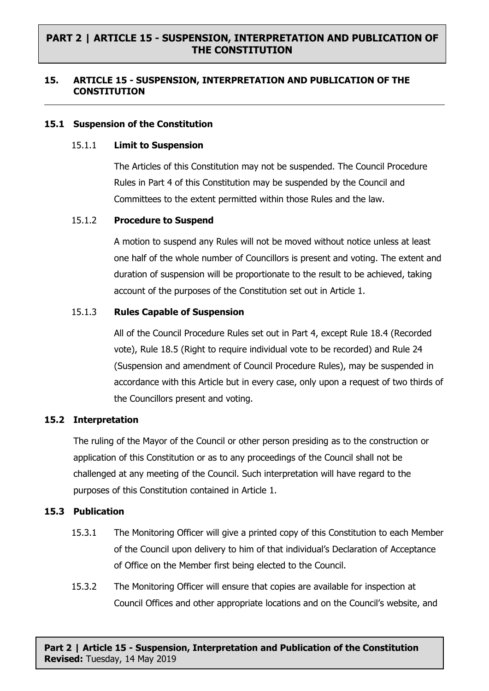# **PART 2 | ARTICLE 15 - SUSPENSION, INTERPRETATION AND PUBLICATION OF THE CONSTITUTION**

## **15. ARTICLE 15 - SUSPENSION, INTERPRETATION AND PUBLICATION OF THE CONSTITUTION**

### **15.1 Suspension of the Constitution**

#### 15.1.1 **Limit to Suspension**

The Articles of this Constitution may not be suspended. The Council Procedure Rules in Part 4 of this Constitution may be suspended by the Council and Committees to the extent permitted within those Rules and the law.

#### 15.1.2 **Procedure to Suspend**

A motion to suspend any Rules will not be moved without notice unless at least one half of the whole number of Councillors is present and voting. The extent and duration of suspension will be proportionate to the result to be achieved, taking account of the purposes of the Constitution set out in Article 1.

#### 15.1.3 **Rules Capable of Suspension**

All of the Council Procedure Rules set out in Part 4, except Rule 18.4 (Recorded vote), Rule 18.5 (Right to require individual vote to be recorded) and Rule 24 (Suspension and amendment of Council Procedure Rules), may be suspended in accordance with this Article but in every case, only upon a request of two thirds of the Councillors present and voting.

## **15.2 Interpretation**

The ruling of the Mayor of the Council or other person presiding as to the construction or application of this Constitution or as to any proceedings of the Council shall not be challenged at any meeting of the Council. Such interpretation will have regard to the purposes of this Constitution contained in Article 1.

## **15.3 Publication**

- 15.3.1 The Monitoring Officer will give a printed copy of this Constitution to each Member of the Council upon delivery to him of that individual's Declaration of Acceptance of Office on the Member first being elected to the Council.
- 15.3.2 The Monitoring Officer will ensure that copies are available for inspection at Council Offices and other appropriate locations and on the Council's website, and